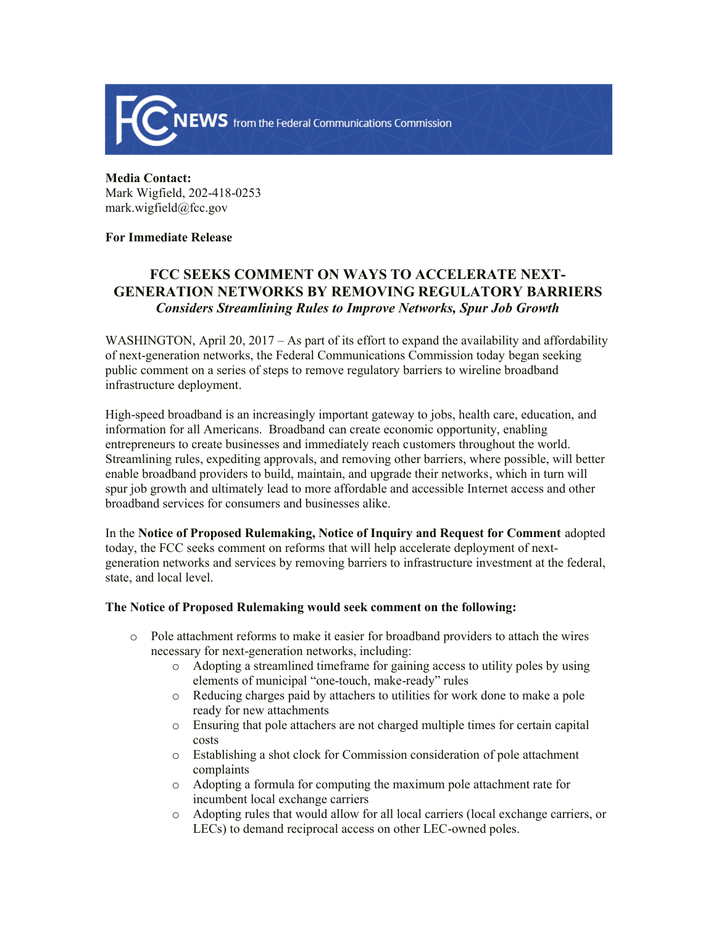

## **Media Contact:**  Mark Wigfield, 202-418-0253 mark.wigfield@fcc.gov

## **For Immediate Release**

# **FCC SEEKS COMMENT ON WAYS TO ACCELERATE NEXT-GENERATION NETWORKS BY REMOVING REGULATORY BARRIERS** *Considers Streamlining Rules to Improve Networks, Spur Job Growth*

WASHINGTON, April 20, 2017 – As part of its effort to expand the availability and affordability of next-generation networks, the Federal Communications Commission today began seeking public comment on a series of steps to remove regulatory barriers to wireline broadband infrastructure deployment.

High-speed broadband is an increasingly important gateway to jobs, health care, education, and information for all Americans. Broadband can create economic opportunity, enabling entrepreneurs to create businesses and immediately reach customers throughout the world. Streamlining rules, expediting approvals, and removing other barriers, where possible, will better enable broadband providers to build, maintain, and upgrade their networks, which in turn will spur job growth and ultimately lead to more affordable and accessible Internet access and other broadband services for consumers and businesses alike.

In the **Notice of Proposed Rulemaking, Notice of Inquiry and Request for Comment** adopted today, the FCC seeks comment on reforms that will help accelerate deployment of nextgeneration networks and services by removing barriers to infrastructure investment at the federal, state, and local level.

### **The Notice of Proposed Rulemaking would seek comment on the following:**

- o Pole attachment reforms to make it easier for broadband providers to attach the wires necessary for next-generation networks, including:
	- o Adopting a streamlined timeframe for gaining access to utility poles by using elements of municipal "one-touch, make-ready" rules
	- o Reducing charges paid by attachers to utilities for work done to make a pole ready for new attachments
	- o Ensuring that pole attachers are not charged multiple times for certain capital costs
	- o Establishing a shot clock for Commission consideration of pole attachment complaints
	- o Adopting a formula for computing the maximum pole attachment rate for incumbent local exchange carriers
	- o Adopting rules that would allow for all local carriers (local exchange carriers, or LECs) to demand reciprocal access on other LEC-owned poles.